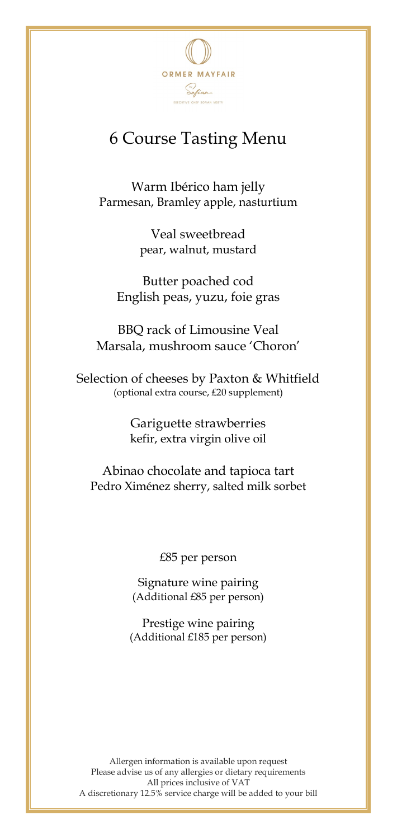

## 6 Course Tasting Menu

Warm Ibérico ham jelly Parmesan, Bramley apple, nasturtium

> Veal sweetbread pear, walnut, mustard

Butter poached cod English peas, yuzu, foie gras

BBQ rack of Limousine Veal Marsala, mushroom sauce 'Choron'

Selection of cheeses by Paxton & Whitfield (optional extra course, £20 supplement)

> Gariguette strawberries kefir, extra virgin olive oil

Abinao chocolate and tapioca tart Pedro Ximénez sherry, salted milk sorbet

£85 per person

Signature wine pairing (Additional £85 per person)

Prestige wine pairing (Additional £185 per person)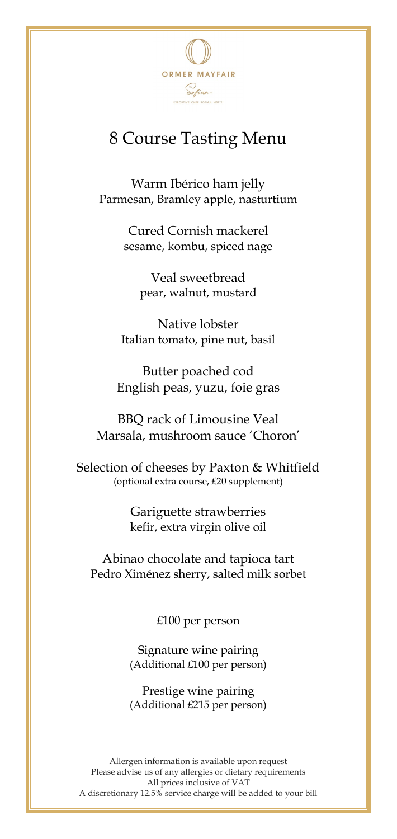

## 8 Course Tasting Menu

Warm Ibérico ham jelly Parmesan, Bramley apple, nasturtium

> Cured Cornish mackerel sesame, kombu, spiced nage

> > Veal sweetbread pear, walnut, mustard

Native lobster Italian tomato, pine nut, basil

Butter poached cod English peas, yuzu, foie gras

BBQ rack of Limousine Veal Marsala, mushroom sauce 'Choron'

Selection of cheeses by Paxton & Whitfield (optional extra course, £20 supplement)

> Gariguette strawberries kefir, extra virgin olive oil

Abinao chocolate and tapioca tart Pedro Ximénez sherry, salted milk sorbet

£100 per person

Signature wine pairing (Additional £100 per person)

Prestige wine pairing (Additional £215 per person)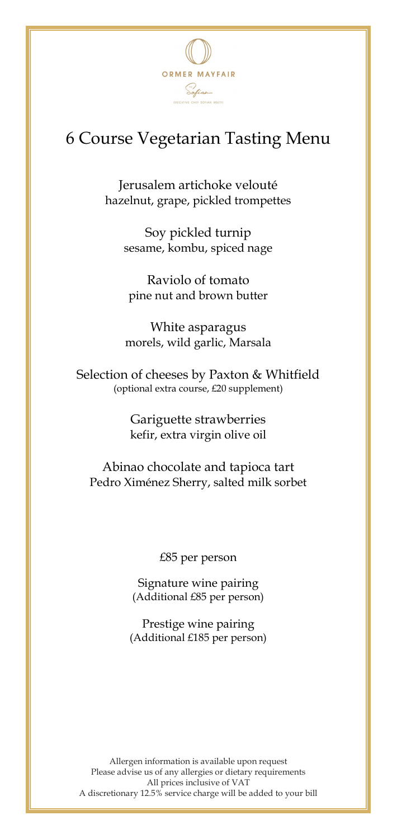

## 6 Course Vegetarian Tasting Menu

Jerusalem artichoke velouté hazelnut, grape, pickled trompettes

Soy pickled turnip sesame, kombu, spiced nage

Raviolo of tomato pine nut and brown butter

White asparagus morels, wild garlic, Marsala

Selection of cheeses by Paxton & Whitfield (optional extra course, £20 supplement)

> Gariguette strawberries kefir, extra virgin olive oil

Abinao chocolate and tapioca tart Pedro Ximénez Sherry, salted milk sorbet

£85 per person

Signature wine pairing (Additional £85 per person)

Prestige wine pairing (Additional £185 per person)